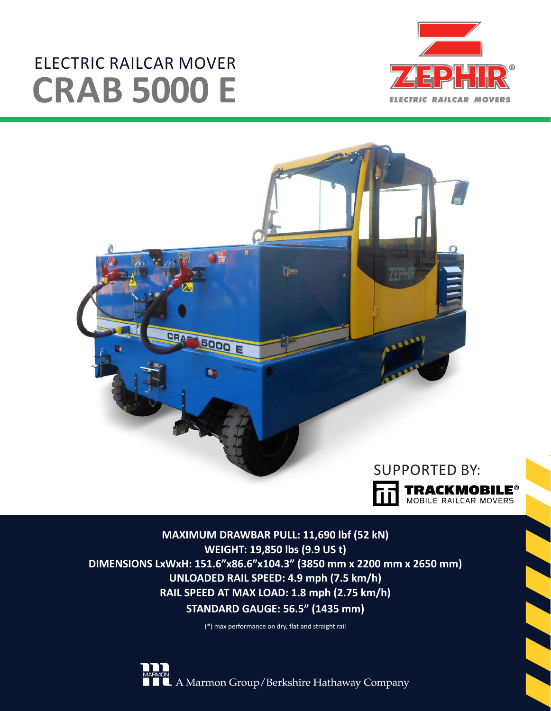# ELECTRIC RAILCAR MOVER **CRAB 5000 E**





**MAXIMUM DRAWBAR PULL: 11,690 lbf (52 kN) WEIGHT: 19,850 lbs (9.9 US t) DIMENSIONS LxWxH: 151.6"x86.6"x104.3" (3850 mm x 2200 mm x 2650 mm) UNLOADED RAIL SPEED: 4.9 mph (7.5 km/h) RAIL SPEED AT MAX LOAD: 1.8 mph (2.75 km/h) STANDARD GAUGE: 56.5" (1435 mm)**

(\*) max performance on dry, flat and straight rail